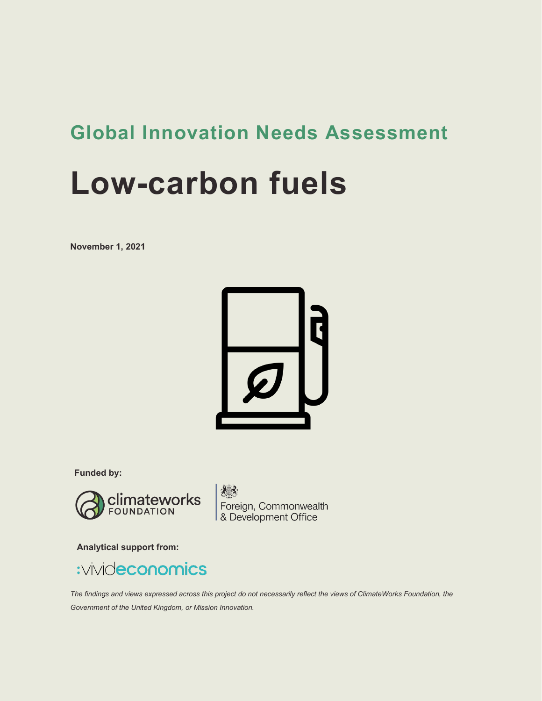# **Global Innovation Needs Assessment**

# **Low-carbon fuels**

**November 1, 2021**



**Funded by:**



Foreign, Commonwealth<br>& Development Office

**Analytical support from:**



*The findings and views expressed across this project do not necessarily reflect the views of ClimateWorks Foundation, the Government of the United Kingdom, or Mission Innovation.*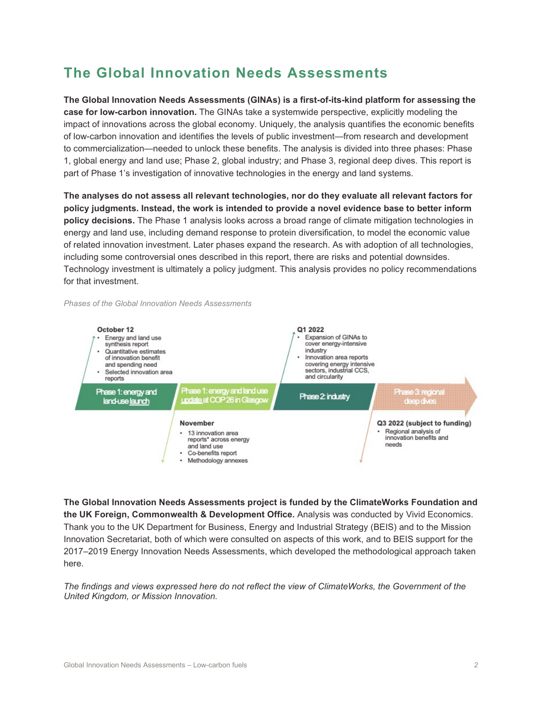### **The Global Innovation Needs Assessments**

**The Global Innovation Needs Assessments (GINAs) is a first-of-its-kind platform for assessing the case for low-carbon innovation.** The GINAs take a systemwide perspective, explicitly modeling the impact of innovations across the global economy. Uniquely, the analysis quantifies the economic benefits of low-carbon innovation and identifies the levels of public investment—from research and development to commercialization—needed to unlock these benefits. The analysis is divided into three phases: Phase 1, global energy and land use; Phase 2, global industry; and Phase 3, regional deep dives. This report is part of Phase 1's investigation of innovative technologies in the energy and land systems.

**The analyses do not assess all relevant technologies, nor do they evaluate all relevant factors for policy judgments. Instead, the work is intended to provide a novel evidence base to better inform policy decisions.** The Phase 1 analysis looks across a broad range of climate mitigation technologies in energy and land use, including demand response to protein diversification, to model the economic value of related innovation investment. Later phases expand the research. As with adoption of all technologies, including some controversial ones described in this report, there are risks and potential downsides. Technology investment is ultimately a policy judgment. This analysis provides no policy recommendations for that investment.

*Phases of the Global Innovation Needs Assessments* 



**The Global Innovation Needs Assessments project is funded by the ClimateWorks Foundation and the UK Foreign, Commonwealth & Development Office.** Analysis was conducted by Vivid Economics. Thank you to the UK Department for Business, Energy and Industrial Strategy (BEIS) and to the Mission Innovation Secretariat, both of which were consulted on aspects of this work, and to BEIS support for the 2017–2019 Energy Innovation Needs Assessments, which developed the methodological approach taken here.

*The findings and views expressed here do not reflect the view of ClimateWorks, the Government of the United Kingdom, or Mission Innovation.*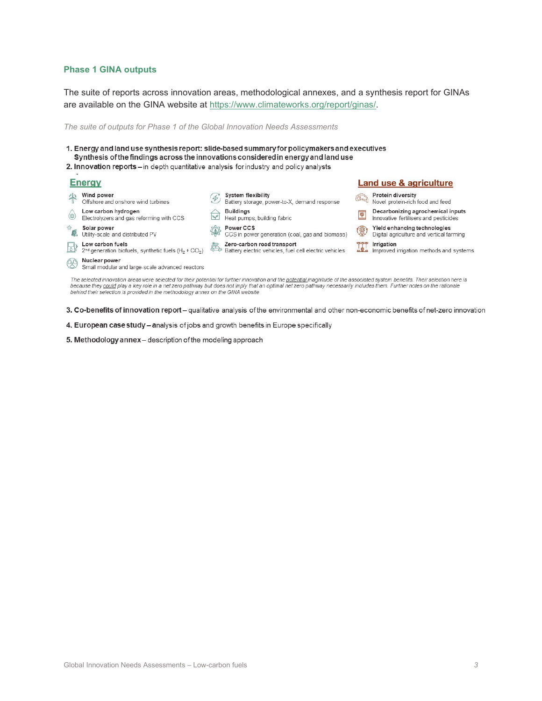#### **Phase 1 GINA outputs**

The suite of reports across innovation areas, methodological annexes, and a synthesis report for GINAs are available on the GINA website at [https://www.climateworks.org/report/ginas/.](https://www.climateworks.org/report/ginas/)

*The suite of outputs for Phase 1 of the Global Innovation Needs Assessments* 

1. Energy and land use synthesis report: slide-based summary for policymakers and executives Synthesis of the findings across the innovations considered in energy and land use

2. Innovation reports - in depth quantitative analysis for industry and policy analysts

#### Eneray

| <b>Energy</b>                                                                                                                                                                                                                                                                                                                                                                                                                              |                                                                           |        |                                                                                      | <b>Land use &amp; agriculture</b> |                                                                            |  |  |
|--------------------------------------------------------------------------------------------------------------------------------------------------------------------------------------------------------------------------------------------------------------------------------------------------------------------------------------------------------------------------------------------------------------------------------------------|---------------------------------------------------------------------------|--------|--------------------------------------------------------------------------------------|-----------------------------------|----------------------------------------------------------------------------|--|--|
| 半                                                                                                                                                                                                                                                                                                                                                                                                                                          | Wind power<br>Offshore and onshore wind turbines                          | 4      | <b>System flexibility</b><br>Battery storage, power-to-X, demand response            | (2)                               | Protein diversity<br>Novel protein-rich food and feed                      |  |  |
| $\circledast$                                                                                                                                                                                                                                                                                                                                                                                                                              | Low carbon hydrogen<br>Electrolyzers and gas reforming with CCS           | $\sim$ | <b>Buildings</b><br>Heat pumps, building fabric                                      | P                                 | Decarbonizing agrochemical inputs<br>Innovative fertilisers and pesticides |  |  |
| $\mathbb{R}^{\#}$                                                                                                                                                                                                                                                                                                                                                                                                                          | Solar power<br>Utility-scale and distributed PV                           |        | Power CCS<br>CCS in power generation (coal, gas and biomass)                         |                                   | Yield enhancing technologies<br>Digital agriculture and vertical farming   |  |  |
| <u>B</u> )                                                                                                                                                                                                                                                                                                                                                                                                                                 | Low carbon fuels<br>$2nd generation biofuels, synthetic fuels (H2 + CO2)$ |        | Zero-carbon road transport<br>Battery electric vehicles, fuel cell electric vehicles | ■ 全血                              | Irrigation<br>Improved irrigation methods and systems                      |  |  |
| $\circledcirc$                                                                                                                                                                                                                                                                                                                                                                                                                             | Nuclear power<br>Small modular and large-scale advanced reactors          |        |                                                                                      |                                   |                                                                            |  |  |
| The selected innovation areas were selected for their potential for further innovation and the potential magnitude of the associated system benefits. Their selection here is<br>because they could play a key role in a net zero pathway but does not imply that an optimal net zero pathway necessarily includes them. Further notes on the rationale<br>behind their selection is provided in the methodology annex on the GINA website |                                                                           |        |                                                                                      |                                   |                                                                            |  |  |

3. Co-benefits of innovation report - qualitative analysis of the environmental and other non-economic benefits of net-zero innovation

- 4. European case study analysis of jobs and growth benefits in Europe specifically
- 5. Methodology annex-description of the modeling approach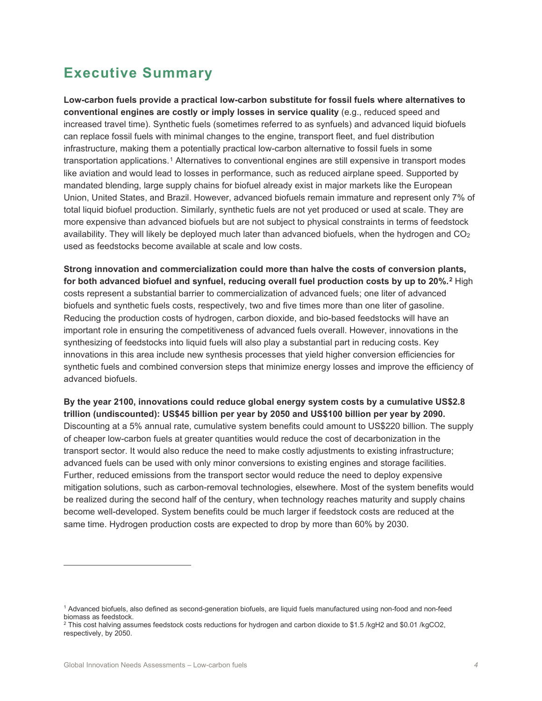### **Executive Summary**

**Low-carbon fuels provide a practical low-carbon substitute for fossil fuels where alternatives to conventional engines are costly or imply losses in service quality** (e.g., reduced speed and increased travel time). Synthetic fuels (sometimes referred to as synfuels) and advanced liquid biofuels can replace fossil fuels with minimal changes to the engine, transport fleet, and fuel distribution infrastructure, making them a potentially practical low-carbon alternative to fossil fuels in some transportation applications.[1](#page-3-0) Alternatives to conventional engines are still expensive in transport modes like aviation and would lead to losses in performance, such as reduced airplane speed. Supported by mandated blending, large supply chains for biofuel already exist in major markets like the European Union, United States, and Brazil. However, advanced biofuels remain immature and represent only 7% of total liquid biofuel production. Similarly, synthetic fuels are not yet produced or used at scale. They are more expensive than advanced biofuels but are not subject to physical constraints in terms of feedstock availability. They will likely be deployed much later than advanced biofuels, when the hydrogen and  $CO<sub>2</sub>$ used as feedstocks become available at scale and low costs.

**Strong innovation and commercialization could more than halve the costs of conversion plants, for both advanced biofuel and synfuel, reducing overall fuel production costs by up to 20%. [2](#page-3-1)** High costs represent a substantial barrier to commercialization of advanced fuels; one liter of advanced biofuels and synthetic fuels costs, respectively, two and five times more than one liter of gasoline. Reducing the production costs of hydrogen, carbon dioxide, and bio-based feedstocks will have an important role in ensuring the competitiveness of advanced fuels overall. However, innovations in the synthesizing of feedstocks into liquid fuels will also play a substantial part in reducing costs. Key innovations in this area include new synthesis processes that yield higher conversion efficiencies for synthetic fuels and combined conversion steps that minimize energy losses and improve the efficiency of advanced biofuels.

**By the year 2100, innovations could reduce global energy system costs by a cumulative US\$2.8 trillion (undiscounted): US\$45 billion per year by 2050 and US\$100 billion per year by 2090.**  Discounting at a 5% annual rate, cumulative system benefits could amount to US\$220 billion. The supply of cheaper low-carbon fuels at greater quantities would reduce the cost of decarbonization in the transport sector. It would also reduce the need to make costly adjustments to existing infrastructure; advanced fuels can be used with only minor conversions to existing engines and storage facilities. Further, reduced emissions from the transport sector would reduce the need to deploy expensive mitigation solutions, such as carbon-removal technologies, elsewhere. Most of the system benefits would be realized during the second half of the century, when technology reaches maturity and supply chains become well-developed. System benefits could be much larger if feedstock costs are reduced at the same time. Hydrogen production costs are expected to drop by more than 60% by 2030.

<span id="page-3-0"></span><sup>1</sup> Advanced biofuels, also defined as second-generation biofuels, are liquid fuels manufactured using non-food and non-feed biomass as feedstock.

<span id="page-3-1"></span> $^2$  This cost halving assumes feedstock costs reductions for hydrogen and carbon dioxide to \$1.5 /kgH2 and \$0.01 /kgCO2, respectively, by 2050.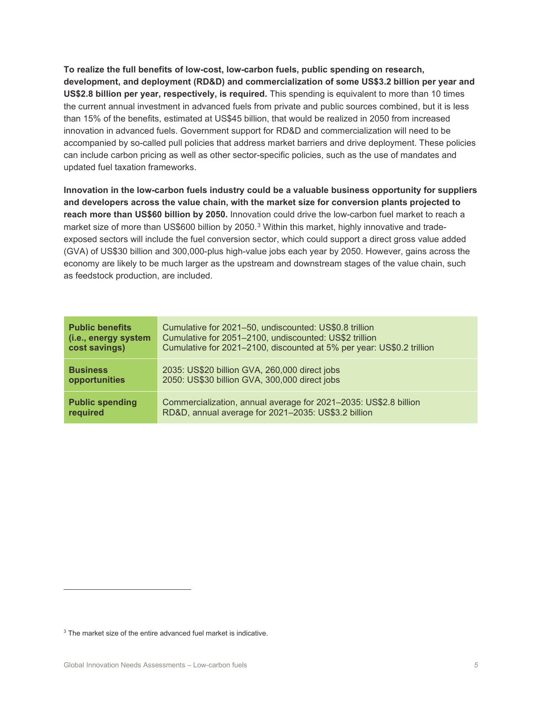**To realize the full benefits of low-cost, low-carbon fuels, public spending on research, development, and deployment (RD&D) and commercialization of some US\$3.2 billion per year and US\$2.8 billion per year, respectively, is required.** This spending is equivalent to more than 10 times the current annual investment in advanced fuels from private and public sources combined, but it is less than 15% of the benefits, estimated at US\$45 billion, that would be realized in 2050 from increased innovation in advanced fuels. Government support for RD&D and commercialization will need to be accompanied by so-called pull policies that address market barriers and drive deployment. These policies can include carbon pricing as well as other sector-specific policies, such as the use of mandates and updated fuel taxation frameworks.

**Innovation in the low-carbon fuels industry could be a valuable business opportunity for suppliers and developers across the value chain, with the market size for conversion plants projected to reach more than US\$60 billion by 2050.** Innovation could drive the low-carbon fuel market to reach a market size of more than US\$600 billion by 2050.<sup>[3](#page-4-0)</sup> Within this market, highly innovative and tradeexposed sectors will include the fuel conversion sector, which could support a direct gross value added (GVA) of US\$30 billion and 300,000-plus high-value jobs each year by 2050. However, gains across the economy are likely to be much larger as the upstream and downstream stages of the value chain, such as feedstock production, are included.

| <b>Public benefits</b> | Cumulative for 2021-50, undiscounted: US\$0.8 trillion                |
|------------------------|-----------------------------------------------------------------------|
| (i.e., energy system   | Cumulative for 2051-2100, undiscounted: US\$2 trillion                |
| cost savings)          | Cumulative for 2021-2100, discounted at 5% per year: US\$0.2 trillion |
| <b>Business</b>        | 2035: US\$20 billion GVA, 260,000 direct jobs                         |
| opportunities          | 2050: US\$30 billion GVA, 300,000 direct jobs                         |
| <b>Public spending</b> | Commercialization, annual average for 2021-2035: US\$2.8 billion      |
| required               | RD&D, annual average for 2021-2035: US\$3.2 billion                   |

<span id="page-4-0"></span><sup>&</sup>lt;sup>3</sup> The market size of the entire advanced fuel market is indicative.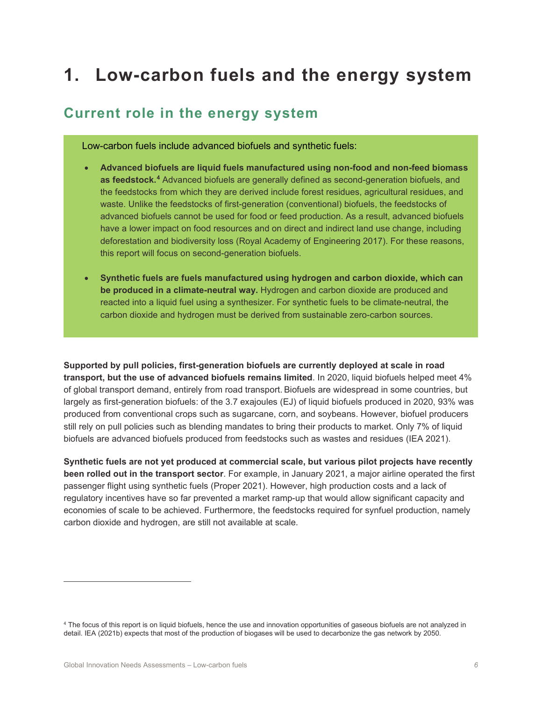# **1. Low-carbon fuels and the energy system**

#### **Current role in the energy system**

Low-carbon fuels include advanced biofuels and synthetic fuels:

- **Advanced biofuels are liquid fuels manufactured using non-food and non-feed biomass as feedstock. [4](#page-5-0)** Advanced biofuels are generally defined as second-generation biofuels, and the feedstocks from which they are derived include forest residues, agricultural residues, and waste. Unlike the feedstocks of first-generation (conventional) biofuels, the feedstocks of advanced biofuels cannot be used for food or feed production. As a result, advanced biofuels have a lower impact on food resources and on direct and indirect land use change, including deforestation and biodiversity loss (Royal Academy of Engineering 2017). For these reasons, this report will focus on second-generation biofuels.
- **Synthetic fuels are fuels manufactured using hydrogen and carbon dioxide, which can be produced in a climate-neutral way.** Hydrogen and carbon dioxide are produced and reacted into a liquid fuel using a synthesizer. For synthetic fuels to be climate-neutral, the carbon dioxide and hydrogen must be derived from sustainable zero-carbon sources.

**Supported by pull policies, first-generation biofuels are currently deployed at scale in road transport, but the use of advanced biofuels remains limited**. In 2020, liquid biofuels helped meet 4% of global transport demand, entirely from road transport. Biofuels are widespread in some countries, but largely as first-generation biofuels: of the 3.7 exajoules (EJ) of liquid biofuels produced in 2020, 93% was produced from conventional crops such as sugarcane, corn, and soybeans. However, biofuel producers still rely on pull policies such as blending mandates to bring their products to market. Only 7% of liquid biofuels are advanced biofuels produced from feedstocks such as wastes and residues (IEA 2021).

**Synthetic fuels are not yet produced at commercial scale, but various pilot projects have recently been rolled out in the transport sector**. For example, in January 2021, a major airline operated the first passenger flight using synthetic fuels (Proper 2021). However, high production costs and a lack of regulatory incentives have so far prevented a market ramp-up that would allow significant capacity and economies of scale to be achieved. Furthermore, the feedstocks required for synfuel production, namely carbon dioxide and hydrogen, are still not available at scale.

<span id="page-5-0"></span><sup>4</sup> The focus of this report is on liquid biofuels, hence the use and innovation opportunities of gaseous biofuels are not analyzed in detail. IEA (2021b) expects that most of the production of biogases will be used to decarbonize the gas network by 2050.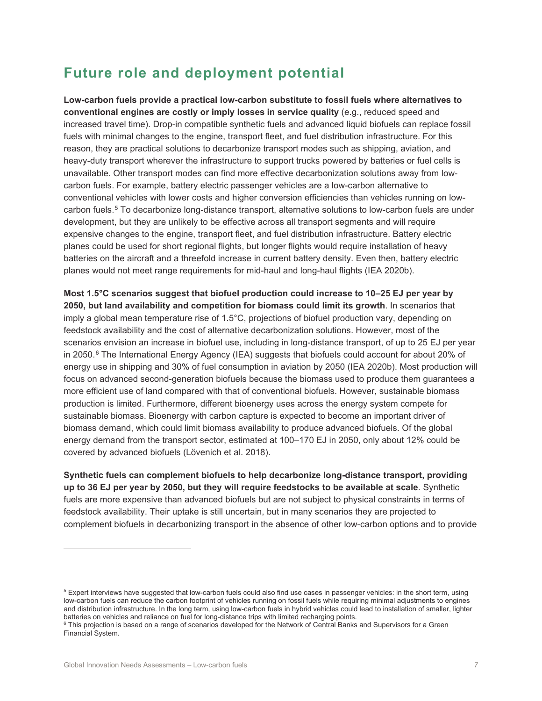### **Future role and deployment potential**

**Low-carbon fuels provide a practical low-carbon substitute to fossil fuels where alternatives to conventional engines are costly or imply losses in service quality** (e.g., reduced speed and increased travel time). Drop-in compatible synthetic fuels and advanced liquid biofuels can replace fossil fuels with minimal changes to the engine, transport fleet, and fuel distribution infrastructure. For this reason, they are practical solutions to decarbonize transport modes such as shipping, aviation, and heavy-duty transport wherever the infrastructure to support trucks powered by batteries or fuel cells is unavailable. Other transport modes can find more effective decarbonization solutions away from lowcarbon fuels. For example, battery electric passenger vehicles are a low-carbon alternative to conventional vehicles with lower costs and higher conversion efficiencies than vehicles running on lowcarbon fuels.[5](#page-6-0) To decarbonize long-distance transport, alternative solutions to low-carbon fuels are under development, but they are unlikely to be effective across all transport segments and will require expensive changes to the engine, transport fleet, and fuel distribution infrastructure. Battery electric planes could be used for short regional flights, but longer flights would require installation of heavy batteries on the aircraft and a threefold increase in current battery density. Even then, battery electric planes would not meet range requirements for mid-haul and long-haul flights (IEA 2020b).

**Most 1.5°C scenarios suggest that biofuel production could increase to 10–25 EJ per year by 2050, but land availability and competition for biomass could limit its growth**. In scenarios that imply a global mean temperature rise of 1.5°C, projections of biofuel production vary, depending on feedstock availability and the cost of alternative decarbonization solutions. However, most of the scenarios envision an increase in biofuel use, including in long-distance transport, of up to 25 EJ per year in 2050.[6](#page-6-1) The International Energy Agency (IEA) suggests that biofuels could account for about 20% of energy use in shipping and 30% of fuel consumption in aviation by 2050 (IEA 2020b). Most production will focus on advanced second-generation biofuels because the biomass used to produce them guarantees a more efficient use of land compared with that of conventional biofuels. However, sustainable biomass production is limited. Furthermore, different bioenergy uses across the energy system compete for sustainable biomass. Bioenergy with carbon capture is expected to become an important driver of biomass demand, which could limit biomass availability to produce advanced biofuels. Of the global energy demand from the transport sector, estimated at 100–170 EJ in 2050, only about 12% could be covered by advanced biofuels (Lövenich et al. 2018).

**Synthetic fuels can complement biofuels to help decarbonize long-distance transport, providing up to 36 EJ per year by 2050, but they will require feedstocks to be available at scale**. Synthetic fuels are more expensive than advanced biofuels but are not subject to physical constraints in terms of feedstock availability. Their uptake is still uncertain, but in many scenarios they are projected to complement biofuels in decarbonizing transport in the absence of other low-carbon options and to provide

<span id="page-6-0"></span><sup>&</sup>lt;sup>5</sup> Expert interviews have suggested that low-carbon fuels could also find use cases in passenger vehicles: in the short term, using low-carbon fuels can reduce the carbon footprint of vehicles running on fossil fuels while requiring minimal adjustments to engines and distribution infrastructure. In the long term, using low-carbon fuels in hybrid vehicles could lead to installation of smaller, lighter batteries on vehicles and reliance on fuel for long-distance trips with limited recharging points.

<span id="page-6-1"></span><sup>&</sup>lt;sup>6</sup> This projection is based on a range of scenarios developed for the Network of Central Banks and Supervisors for a Green Financial System.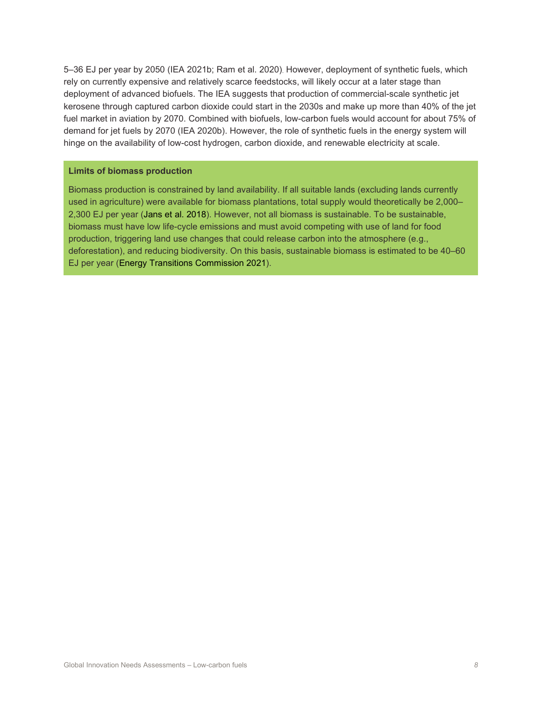5–36 EJ per year by 2050 (IEA 2021b; Ram et al. 2020). However, deployment of synthetic fuels, which rely on currently expensive and relatively scarce feedstocks, will likely occur at a later stage than deployment of advanced biofuels. The IEA suggests that production of commercial-scale synthetic jet kerosene through captured carbon dioxide could start in the 2030s and make up more than 40% of the jet fuel market in aviation by 2070. Combined with biofuels, low-carbon fuels would account for about 75% of demand for jet fuels by 2070 (IEA 2020b). However, the role of synthetic fuels in the energy system will hinge on the availability of low-cost hydrogen, carbon dioxide, and renewable electricity at scale.

#### **Limits of biomass production**

Biomass production is constrained by land availability. If all suitable lands (excluding lands currently used in agriculture) were available for biomass plantations, total supply would theoretically be 2,000– 2,300 EJ per year (Jans et al. 2018). However, not all biomass is sustainable. To be sustainable, biomass must have low life-cycle emissions and must avoid competing with use of land for food production, triggering land use changes that could release carbon into the atmosphere (e.g., deforestation), and reducing biodiversity. On this basis, sustainable biomass is estimated to be 40–60 EJ per year (Energy Transitions Commission 2021).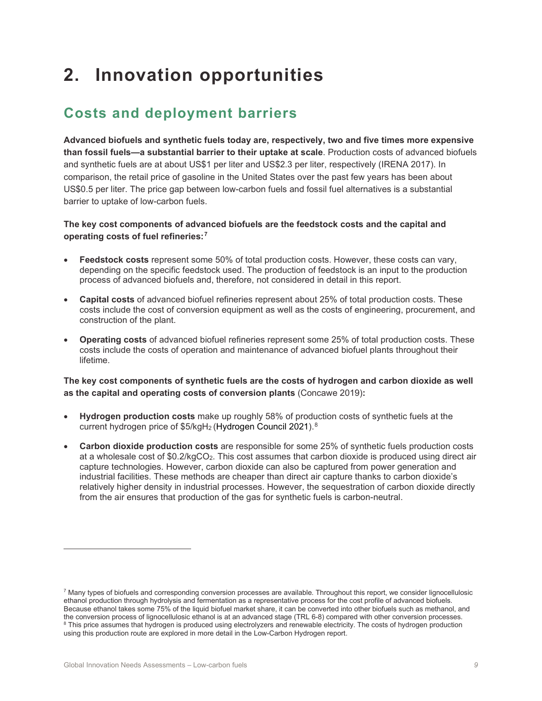# **2. Innovation opportunities**

### **Costs and deployment barriers**

**Advanced biofuels and synthetic fuels today are, respectively, two and five times more expensive than fossil fuels—a substantial barrier to their uptake at scale**. Production costs of advanced biofuels and synthetic fuels are at about US\$1 per liter and US\$2.3 per liter, respectively (IRENA 2017). In comparison, the retail price of gasoline in the United States over the past few years has been about US\$0.5 per liter. The price gap between low-carbon fuels and fossil fuel alternatives is a substantial barrier to uptake of low-carbon fuels.

#### **The key cost components of advanced biofuels are the feedstock costs and the capital and operating costs of fuel refineries:[7](#page-8-0)**

- **Feedstock costs** represent some 50% of total production costs. However, these costs can vary, depending on the specific feedstock used. The production of feedstock is an input to the production process of advanced biofuels and, therefore, not considered in detail in this report.
- **Capital costs** of advanced biofuel refineries represent about 25% of total production costs. These costs include the cost of conversion equipment as well as the costs of engineering, procurement, and construction of the plant.
- **Operating costs** of advanced biofuel refineries represent some 25% of total production costs. These costs include the costs of operation and maintenance of advanced biofuel plants throughout their lifetime.

#### **The key cost components of synthetic fuels are the costs of hydrogen and carbon dioxide as well as the capital and operating costs of conversion plants** (Concawe 2019)**:**

- **Hydrogen production costs** make up roughly 58% of production costs of synthetic fuels at the current hydrogen price of \$5/kgH<sub>2</sub> (Hydrogen Council 2021).<sup>[8](#page-8-1)</sup>
- **Carbon dioxide production costs** are responsible for some 25% of synthetic fuels production costs at a wholesale cost of \$0.2/kgCO2. This cost assumes that carbon dioxide is produced using direct air capture technologies. However, carbon dioxide can also be captured from power generation and industrial facilities. These methods are cheaper than direct air capture thanks to carbon dioxide's relatively higher density in industrial processes. However, the sequestration of carbon dioxide directly from the air ensures that production of the gas for synthetic fuels is carbon-neutral.

<span id="page-8-1"></span><span id="page-8-0"></span> $7$  Many types of biofuels and corresponding conversion processes are available. Throughout this report, we consider lignocellulosic ethanol production through hydrolysis and fermentation as a representative process for the cost profile of advanced biofuels. Because ethanol takes some 75% of the liquid biofuel market share, it can be converted into other biofuels such as methanol, and the conversion process of lignocellulosic ethanol is at an advanced stage (TRL 6-8) compared with other conversion processes. 8 This price assumes that hydrogen is produced using electrolyzers and renewable electricity. The costs of hydrogen production using this production route are explored in more detail in the Low-Carbon Hydrogen report.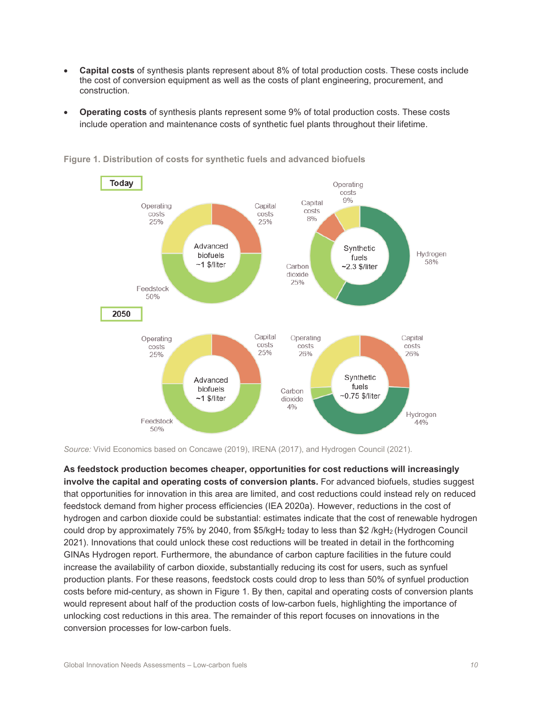- **Capital costs** of synthesis plants represent about 8% of total production costs. These costs include the cost of conversion equipment as well as the costs of plant engineering, procurement, and construction.
- **Operating costs** of synthesis plants represent some 9% of total production costs. These costs include operation and maintenance costs of synthetic fuel plants throughout their lifetime.



**Figure 1. Distribution of costs for synthetic fuels and advanced biofuels** 

*Source:* Vivid Economics based on Concawe (2019), IRENA (2017), and Hydrogen Council (2021).

**As feedstock production becomes cheaper, opportunities for cost reductions will increasingly involve the capital and operating costs of conversion plants.** For advanced biofuels, studies suggest that opportunities for innovation in this area are limited, and cost reductions could instead rely on reduced feedstock demand from higher process efficiencies (IEA 2020a). However, reductions in the cost of hydrogen and carbon dioxide could be substantial: estimates indicate that the cost of renewable hydrogen could drop by approximately 75% by 2040, from \$5/kgH2 today to less than \$2 /kgH2 (Hydrogen Council 2021). Innovations that could unlock these cost reductions will be treated in detail in the forthcoming GINAs Hydrogen report. Furthermore, the abundance of carbon capture facilities in the future could increase the availability of carbon dioxide, substantially reducing its cost for users, such as synfuel production plants. For these reasons, feedstock costs could drop to less than 50% of synfuel production costs before mid-century, as shown in Figure 1. By then, capital and operating costs of conversion plants would represent about half of the production costs of low-carbon fuels, highlighting the importance of unlocking cost reductions in this area. The remainder of this report focuses on innovations in the conversion processes for low-carbon fuels.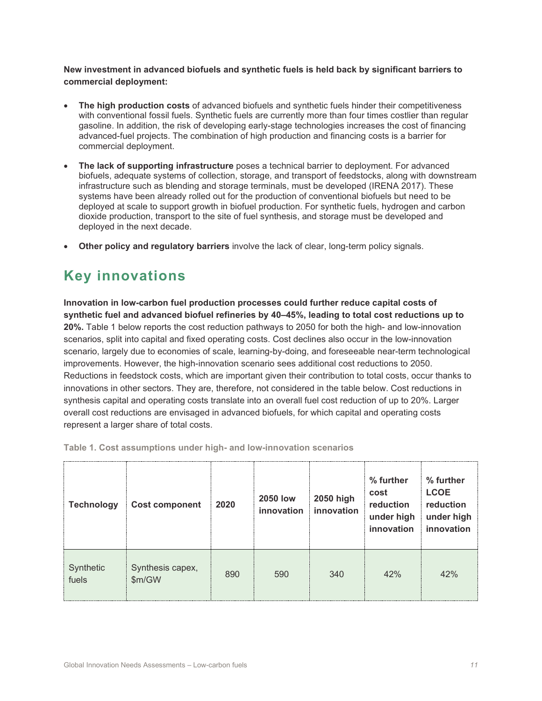**New investment in advanced biofuels and synthetic fuels is held back by significant barriers to commercial deployment:**

- **The high production costs** of advanced biofuels and synthetic fuels hinder their competitiveness with conventional fossil fuels. Synthetic fuels are currently more than four times costlier than regular gasoline. In addition, the risk of developing early-stage technologies increases the cost of financing advanced-fuel projects. The combination of high production and financing costs is a barrier for commercial deployment.
- **The lack of supporting infrastructure** poses a technical barrier to deployment. For advanced biofuels, adequate systems of collection, storage, and transport of feedstocks, along with downstream infrastructure such as blending and storage terminals, must be developed (IRENA 2017). These systems have been already rolled out for the production of conventional biofuels but need to be deployed at scale to support growth in biofuel production. For synthetic fuels, hydrogen and carbon dioxide production, transport to the site of fuel synthesis, and storage must be developed and deployed in the next decade.
- **Other policy and regulatory barriers** involve the lack of clear, long-term policy signals.

### **Key innovations**

**Innovation in low-carbon fuel production processes could further reduce capital costs of synthetic fuel and advanced biofuel refineries by 40–45%, leading to total cost reductions up to 20%.** Table 1 below reports the cost reduction pathways to 2050 for both the high- and low-innovation scenarios, split into capital and fixed operating costs. Cost declines also occur in the low-innovation scenario, largely due to economies of scale, learning-by-doing, and foreseeable near-term technological improvements. However, the high-innovation scenario sees additional cost reductions to 2050. Reductions in feedstock costs, which are important given their contribution to total costs, occur thanks to innovations in other sectors. They are, therefore, not considered in the table below. Cost reductions in synthesis capital and operating costs translate into an overall fuel cost reduction of up to 20%. Larger overall cost reductions are envisaged in advanced biofuels, for which capital and operating costs represent a larger share of total costs.

| <b>Technology</b>  | <b>Cost component</b>    | 2020 | <b>2050 low</b><br>innovation | 2050 high<br>innovation | % further<br>cost<br>reduction<br>under high<br>innovation | % further<br><b>LCOE</b><br>reduction<br>under high<br>innovation |
|--------------------|--------------------------|------|-------------------------------|-------------------------|------------------------------------------------------------|-------------------------------------------------------------------|
| Synthetic<br>fuels | Synthesis capex,<br>m/GW | 890  | 590                           | 340                     | 42%                                                        | 42%                                                               |

**Table 1. Cost assumptions under high- and low-innovation scenarios**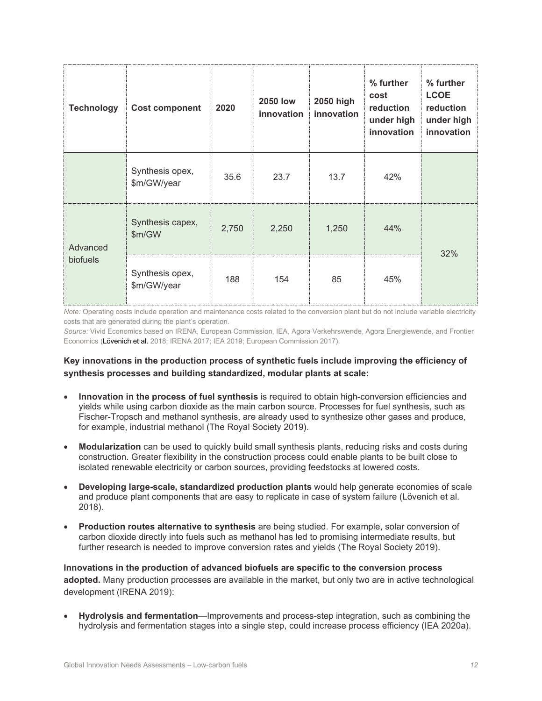| <b>Technology</b> | <b>Cost component</b>          | 2020  | <b>2050 low</b><br>innovation | 2050 high<br>innovation | % further<br>cost<br>reduction<br>under high<br>innovation | % further<br><b>LCOE</b><br>reduction<br>under high<br>innovation |  |
|-------------------|--------------------------------|-------|-------------------------------|-------------------------|------------------------------------------------------------|-------------------------------------------------------------------|--|
|                   | Synthesis opex,<br>\$m/GW/year | 35.6  | 23.7                          | 13.7                    | 42%                                                        |                                                                   |  |
| Advanced          | Synthesis capex,<br>\$m/GW     | 2,750 | 2,250                         | 1,250                   | 44%                                                        | 32%                                                               |  |
| biofuels          | Synthesis opex,<br>\$m/GW/year | 188   | 154                           | 85                      | 45%                                                        |                                                                   |  |

*Note:* Operating costs include operation and maintenance costs related to the conversion plant but do not include variable electricity costs that are generated during the plant's operation.

*Source:* Vivid Economics based on IRENA, European Commission, IEA, Agora Verkehrswende, Agora Energiewende, and Frontier Economics (Lövenich et al. 2018; IRENA 2017; IEA 2019; European Commission 2017).

#### **Key innovations in the production process of synthetic fuels include improving the efficiency of synthesis processes and building standardized, modular plants at scale:**

- **Innovation in the process of fuel synthesis** is required to obtain high-conversion efficiencies and yields while using carbon dioxide as the main carbon source. Processes for fuel synthesis, such as Fischer-Tropsch and methanol synthesis, are already used to synthesize other gases and produce, for example, industrial methanol (The Royal Society 2019).
- **Modularization** can be used to quickly build small synthesis plants, reducing risks and costs during construction. Greater flexibility in the construction process could enable plants to be built close to isolated renewable electricity or carbon sources, providing feedstocks at lowered costs.
- **Developing large-scale, standardized production plants** would help generate economies of scale and produce plant components that are easy to replicate in case of system failure (Lövenich et al. 2018).
- **Production routes alternative to synthesis** are being studied. For example, solar conversion of carbon dioxide directly into fuels such as methanol has led to promising intermediate results, but further research is needed to improve conversion rates and yields (The Royal Society 2019).

**Innovations in the production of advanced biofuels are specific to the conversion process adopted.** Many production processes are available in the market, but only two are in active technological development (IRENA 2019):

• **Hydrolysis and fermentation**—Improvements and process-step integration, such as combining the hydrolysis and fermentation stages into a single step, could increase process efficiency (IEA 2020a).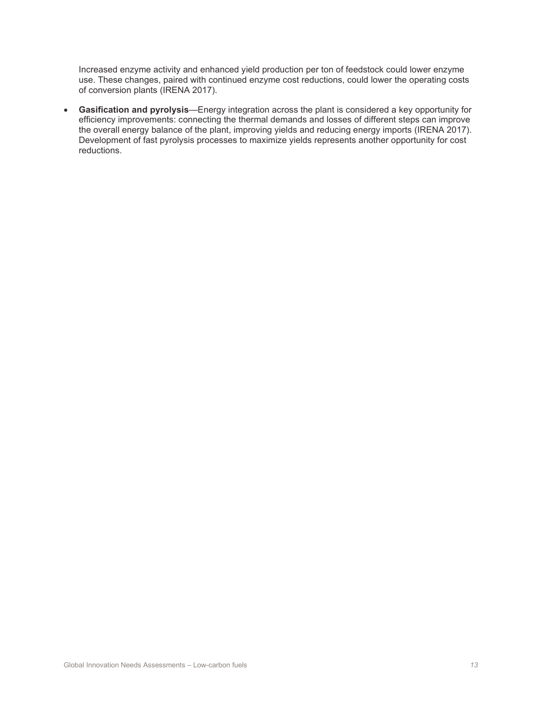Increased enzyme activity and enhanced yield production per ton of feedstock could lower enzyme use. These changes, paired with continued enzyme cost reductions, could lower the operating costs of conversion plants (IRENA 2017).

• **Gasification and pyrolysis**—Energy integration across the plant is considered a key opportunity for efficiency improvements: connecting the thermal demands and losses of different steps can improve the overall energy balance of the plant, improving yields and reducing energy imports (IRENA 2017). Development of fast pyrolysis processes to maximize yields represents another opportunity for cost reductions.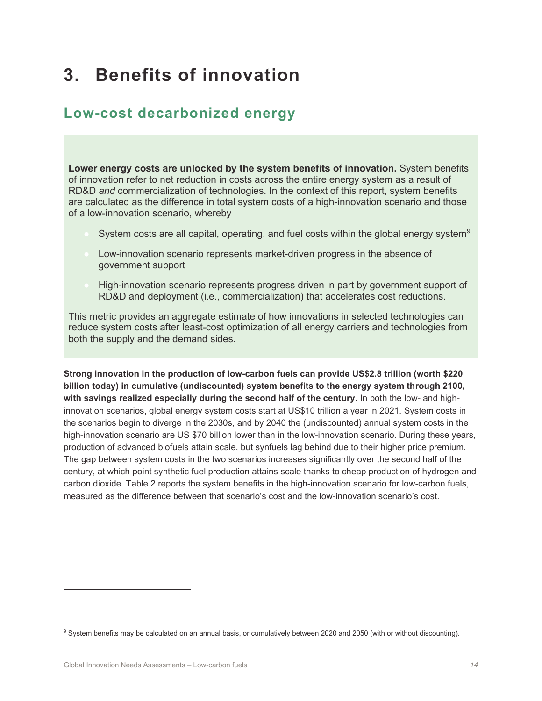# **3. Benefits of innovation**

### **Low-cost decarbonized energy**

**Lower energy costs are unlocked by the system benefits of innovation.** System benefits of innovation refer to net reduction in costs across the entire energy system as a result of RD&D *and* commercialization of technologies. In the context of this report, system benefits are calculated as the difference in total system costs of a high-innovation scenario and those of a low-innovation scenario, whereby

- System costs are all capital, operating, and fuel costs within the global energy system<sup>[9](#page-13-0)</sup>
- Low-innovation scenario represents market-driven progress in the absence of government support
- High-innovation scenario represents progress driven in part by government support of RD&D and deployment (i.e., commercialization) that accelerates cost reductions.

This metric provides an aggregate estimate of how innovations in selected technologies can reduce system costs after least-cost optimization of all energy carriers and technologies from both the supply and the demand sides.

**Strong innovation in the production of low-carbon fuels can provide US\$2.8 trillion (worth \$220 billion today) in cumulative (undiscounted) system benefits to the energy system through 2100, with savings realized especially during the second half of the century.** In both the low- and highinnovation scenarios, global energy system costs start at US\$10 trillion a year in 2021. System costs in the scenarios begin to diverge in the 2030s, and by 2040 the (undiscounted) annual system costs in the high-innovation scenario are US \$70 billion lower than in the low-innovation scenario. During these years, production of advanced biofuels attain scale, but synfuels lag behind due to their higher price premium. The gap between system costs in the two scenarios increases significantly over the second half of the century, at which point synthetic fuel production attains scale thanks to cheap production of hydrogen and carbon dioxide. Table 2 reports the system benefits in the high-innovation scenario for low-carbon fuels, measured as the difference between that scenario's cost and the low-innovation scenario's cost.

<span id="page-13-0"></span><sup>9</sup> System benefits may be calculated on an annual basis, or cumulatively between 2020 and 2050 (with or without discounting).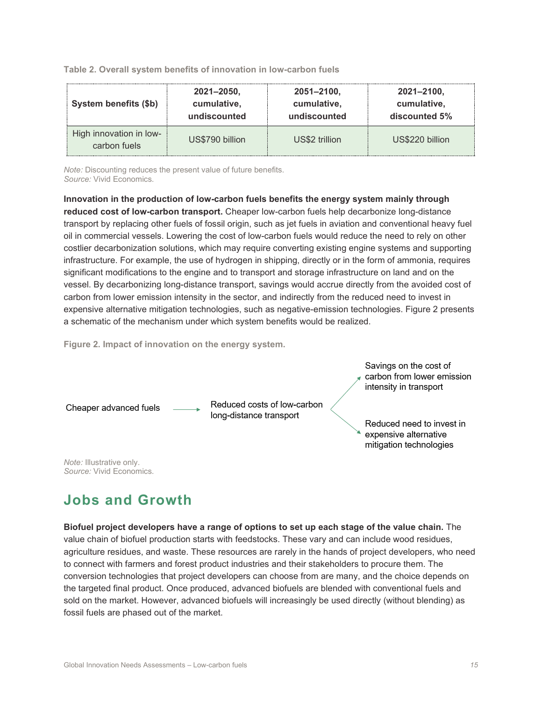**Table 2. Overall system benefits of innovation in low-carbon fuels**

| System benefits (\$b)                   | 2021-2050,      | $2051 - 2100$ , | 2021-2100,      |  |  |
|-----------------------------------------|-----------------|-----------------|-----------------|--|--|
|                                         | cumulative,     | cumulative,     | cumulative,     |  |  |
|                                         | undiscounted    | undiscounted    | discounted 5%   |  |  |
| High innovation in low-<br>carbon fuels | US\$790 billion | US\$2 trillion  | US\$220 billion |  |  |

*Note:* Discounting reduces the present value of future benefits. *Source:* Vivid Economics.

**Innovation in the production of low-carbon fuels benefits the energy system mainly through reduced cost of low-carbon transport.** Cheaper low-carbon fuels help decarbonize long-distance transport by replacing other fuels of fossil origin, such as jet fuels in aviation and conventional heavy fuel oil in commercial vessels. Lowering the cost of low-carbon fuels would reduce the need to rely on other costlier decarbonization solutions, which may require converting existing engine systems and supporting infrastructure. For example, the use of hydrogen in shipping, directly or in the form of ammonia, requires significant modifications to the engine and to transport and storage infrastructure on land and on the vessel. By decarbonizing long-distance transport, savings would accrue directly from the avoided cost of carbon from lower emission intensity in the sector, and indirectly from the reduced need to invest in expensive alternative mitigation technologies, such as negative-emission technologies. Figure 2 presents a schematic of the mechanism under which system benefits would be realized.

**Figure 2. Impact of innovation on the energy system.**



### **Jobs and Growth**

**Biofuel project developers have a range of options to set up each stage of the value chain.** The value chain of biofuel production starts with feedstocks. These vary and can include wood residues, agriculture residues, and waste. These resources are rarely in the hands of project developers, who need to connect with farmers and forest product industries and their stakeholders to procure them. The conversion technologies that project developers can choose from are many, and the choice depends on the targeted final product. Once produced, advanced biofuels are blended with conventional fuels and sold on the market. However, advanced biofuels will increasingly be used directly (without blending) as fossil fuels are phased out of the market.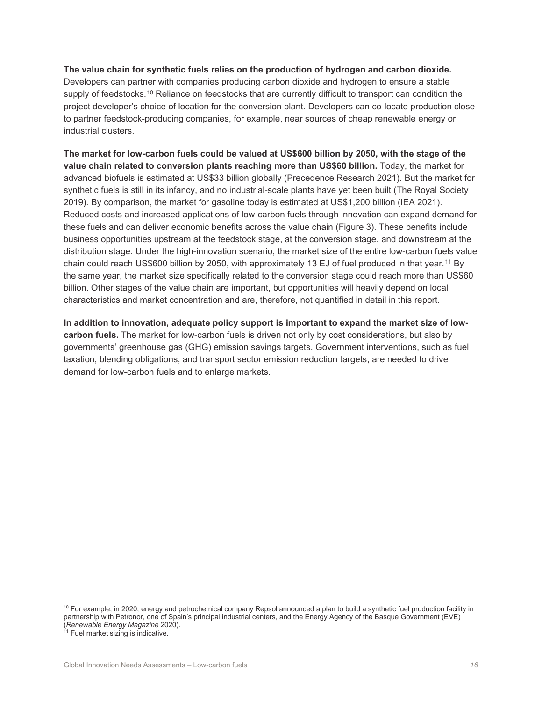**The value chain for synthetic fuels relies on the production of hydrogen and carbon dioxide.**  Developers can partner with companies producing carbon dioxide and hydrogen to ensure a stable supply of feedstocks.<sup>[10](#page-15-0)</sup> Reliance on feedstocks that are currently difficult to transport can condition the project developer's choice of location for the conversion plant. Developers can co-locate production close to partner feedstock-producing companies, for example, near sources of cheap renewable energy or industrial clusters.

**The market for low-carbon fuels could be valued at US\$600 billion by 2050, with the stage of the value chain related to conversion plants reaching more than US\$60 billion.** Today, the market for advanced biofuels is estimated at US\$33 billion globally (Precedence Research 2021). But the market for synthetic fuels is still in its infancy, and no industrial-scale plants have yet been built (The Royal Society 2019). By comparison, the market for gasoline today is estimated at US\$1,200 billion (IEA 2021). Reduced costs and increased applications of low-carbon fuels through innovation can expand demand for these fuels and can deliver economic benefits across the value chain (Figure 3). These benefits include business opportunities upstream at the feedstock stage, at the conversion stage, and downstream at the distribution stage. Under the high-innovation scenario, the market size of the entire low-carbon fuels value chain could reach US\$600 billion by 2050, with approximately 13 EJ of fuel produced in that year.<sup>[11](#page-15-1)</sup> By the same year, the market size specifically related to the conversion stage could reach more than US\$60 billion. Other stages of the value chain are important, but opportunities will heavily depend on local characteristics and market concentration and are, therefore, not quantified in detail in this report.

**In addition to innovation, adequate policy support is important to expand the market size of lowcarbon fuels.** The market for low-carbon fuels is driven not only by cost considerations, but also by governments' greenhouse gas (GHG) emission savings targets. Government interventions, such as fuel taxation, blending obligations, and transport sector emission reduction targets, are needed to drive demand for low-carbon fuels and to enlarge markets.

<span id="page-15-0"></span> $10$  For example, in 2020, energy and petrochemical company Repsol announced a plan to build a synthetic fuel production facility in partnership with Petronor, one of Spain's principal industrial centers, and the Energy Agency of the Basque Government (EVE) (*Renewable Energy Magazine* 2020).

<span id="page-15-1"></span> $11$  Fuel market sizing is indicative.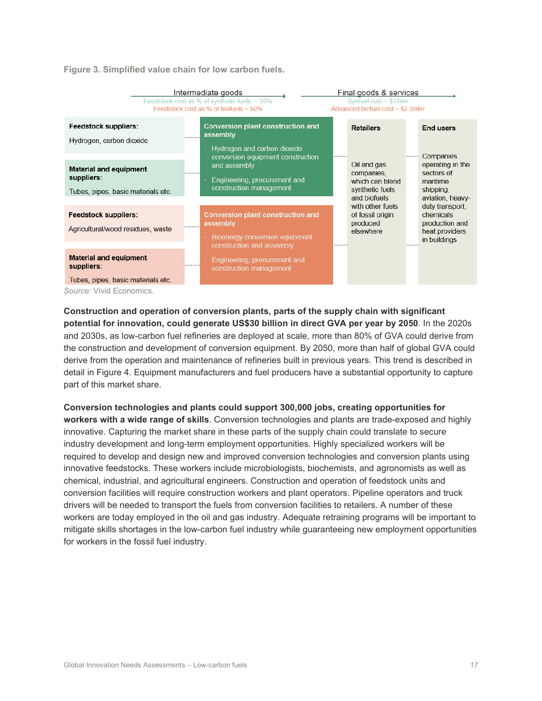**Figure 3. Simplified value chain for low carbon fuels.**

| Intermediate goods<br>Feedstock cost as % of synthetic fuels: ~ 80%<br>Feedstock cost as % of biofuels $\sim$ 50%    |                                                                                                                          |  | Final goods & services<br>Synfuel $cost \sim $1/liter$<br>Advanced biofuel cost $\sim$ \$2.3/liter |  |                                                                                  |  |
|----------------------------------------------------------------------------------------------------------------------|--------------------------------------------------------------------------------------------------------------------------|--|----------------------------------------------------------------------------------------------------|--|----------------------------------------------------------------------------------|--|
| Feedstock suppliers:<br>Hydrogen, carbon dioxide                                                                     | <b>Conversion plant construction and</b><br>assembly<br>Hydrogen and carbon dioxide<br>conversion equipment construction |  | <b>Retailers</b>                                                                                   |  | <b>End users</b><br>Companies                                                    |  |
| <b>Material and equipment</b><br>suppliers:<br>Tubes, pipes, basic materials etc.                                    | and assembly<br>Engineering, procurement and<br>construction management                                                  |  | Oil and gas<br>companies,<br>which can blend<br>synthetic fuels<br>and biofuels                    |  | operating in the<br>sectors of<br>maritime<br>shipping,<br>aviation, heavy-      |  |
| <b>Feedstock suppliers:</b><br>Agricultural/wood residues, waste                                                     | <b>Conversion plant construction and</b><br>assembly<br>Bioenergy conversion equipment<br>construction and assembly      |  | with other fuels<br>of fossil origin<br>produced<br>elsewhere                                      |  | duty transport,<br>chemicals<br>production and<br>heat providers<br>in buildings |  |
| <b>Material and equipment</b><br>suppliers:<br>Tubes, pipes, basic materials etc.<br><i>Source:</i> Vivid Economics. | Engineering, procurement and<br>construction management                                                                  |  |                                                                                                    |  |                                                                                  |  |

**Construction and operation of conversion plants, parts of the supply chain with significant potential for innovation, could generate US\$30 billion in direct GVA per year by 2050**. In the 2020s and 2030s, as low-carbon fuel refineries are deployed at scale, more than 80% of GVA could derive from the construction and development of conversion equipment. By 2050, more than half of global GVA could derive from the operation and maintenance of refineries built in previous years. This trend is described in detail in Figure 4. Equipment manufacturers and fuel producers have a substantial opportunity to capture part of this market share.

**Conversion technologies and plants could support 300,000 jobs, creating opportunities for workers with a wide range of skills**. Conversion technologies and plants are trade-exposed and highly innovative. Capturing the market share in these parts of the supply chain could translate to secure industry development and long-term employment opportunities. Highly specialized workers will be required to develop and design new and improved conversion technologies and conversion plants using innovative feedstocks. These workers include microbiologists, biochemists, and agronomists as well as chemical, industrial, and agricultural engineers. Construction and operation of feedstock units and conversion facilities will require construction workers and plant operators. Pipeline operators and truck drivers will be needed to transport the fuels from conversion facilities to retailers. A number of these workers are today employed in the oil and gas industry. Adequate retraining programs will be important to mitigate skills shortages in the low-carbon fuel industry while guaranteeing new employment opportunities for workers in the fossil fuel industry.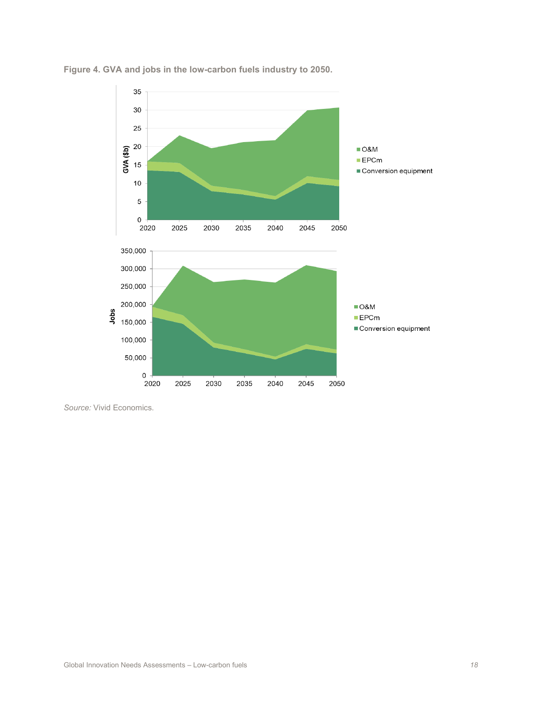

**Figure 4. GVA and jobs in the low-carbon fuels industry to 2050.**

*Source:* Vivid Economics.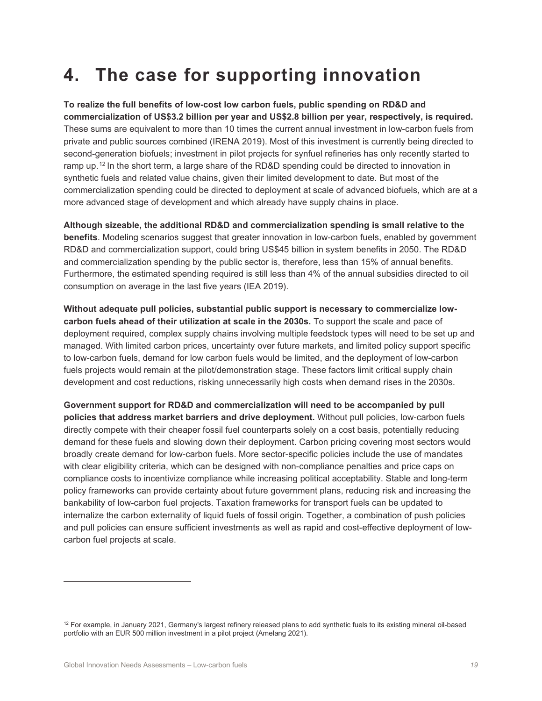# **4. The case for supporting innovation**

**To realize the full benefits of low-cost low carbon fuels, public spending on RD&D and commercialization of US\$3.2 billion per year and US\$2.8 billion per year, respectively, is required.**  These sums are equivalent to more than 10 times the current annual investment in low-carbon fuels from private and public sources combined (IRENA 2019). Most of this investment is currently being directed to second-generation biofuels; investment in pilot projects for synfuel refineries has only recently started to ramp up.<sup>[12](#page-18-0)</sup> In the short term, a large share of the RD&D spending could be directed to innovation in synthetic fuels and related value chains, given their limited development to date. But most of the commercialization spending could be directed to deployment at scale of advanced biofuels, which are at a more advanced stage of development and which already have supply chains in place.

**Although sizeable, the additional RD&D and commercialization spending is small relative to the benefits**. Modeling scenarios suggest that greater innovation in low-carbon fuels, enabled by government RD&D and commercialization support, could bring US\$45 billion in system benefits in 2050. The RD&D and commercialization spending by the public sector is, therefore, less than 15% of annual benefits. Furthermore, the estimated spending required is still less than 4% of the annual subsidies directed to oil consumption on average in the last five years (IEA 2019).

**Without adequate pull policies, substantial public support is necessary to commercialize lowcarbon fuels ahead of their utilization at scale in the 2030s.** To support the scale and pace of deployment required, complex supply chains involving multiple feedstock types will need to be set up and managed. With limited carbon prices, uncertainty over future markets, and limited policy support specific to low-carbon fuels, demand for low carbon fuels would be limited, and the deployment of low-carbon fuels projects would remain at the pilot/demonstration stage. These factors limit critical supply chain development and cost reductions, risking unnecessarily high costs when demand rises in the 2030s.

**Government support for RD&D and commercialization will need to be accompanied by pull policies that address market barriers and drive deployment.** Without pull policies, low-carbon fuels directly compete with their cheaper fossil fuel counterparts solely on a cost basis, potentially reducing demand for these fuels and slowing down their deployment. Carbon pricing covering most sectors would broadly create demand for low-carbon fuels. More sector-specific policies include the use of mandates with clear eligibility criteria, which can be designed with non-compliance penalties and price caps on compliance costs to incentivize compliance while increasing political acceptability. Stable and long-term policy frameworks can provide certainty about future government plans, reducing risk and increasing the bankability of low-carbon fuel projects. Taxation frameworks for transport fuels can be updated to internalize the carbon externality of liquid fuels of fossil origin. Together, a combination of push policies and pull policies can ensure sufficient investments as well as rapid and cost-effective deployment of lowcarbon fuel projects at scale.

<span id="page-18-0"></span> $12$  For example, in January 2021, Germany's largest refinery released plans to add synthetic fuels to its existing mineral oil-based portfolio with an EUR 500 million investment in a pilot project (Amelang 2021).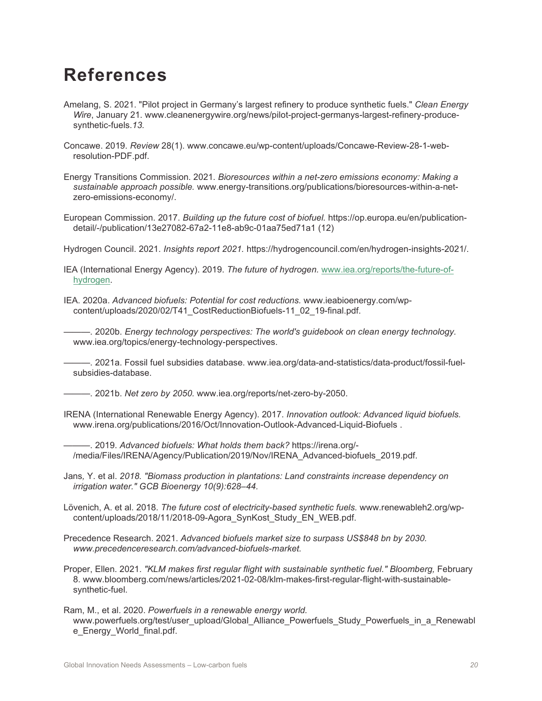## **References**

- Amelang, S. 2021. "Pilot project in Germany's largest refinery to produce synthetic fuels." *Clean Energy Wire*, January 21. www.cleanenergywire.org/news/pilot-project-germanys-largest-refinery-producesynthetic-fuels.*13.*
- Concawe. 2019. *Review* 28(1). www.concawe.eu/wp-content/uploads/Concawe-Review-28-1-webresolution-PDF.pdf.

Energy Transitions Commission. 2021. *Bioresources within a net-zero emissions economy: Making a sustainable approach possible.* www.energy-transitions.org/publications/bioresources-within-a-netzero-emissions-economy/.

European Commission. 2017. *Building up the future cost of biofuel.* https://op.europa.eu/en/publicationdetail/-/publication/13e27082-67a2-11e8-ab9c-01aa75ed71a1 (12)

Hydrogen Council. 2021. *Insights report 2021.* https://hydrogencouncil.com/en/hydrogen-insights-2021/.

- IEA (International Energy Agency). 2019. *The future of hydrogen.* [www.iea.org/reports/the-future-of](http://www.iea.org/reports/the-future-of-hydrogen)[hydrogen.](http://www.iea.org/reports/the-future-of-hydrogen)
- IEA. 2020a. *Advanced biofuels: Potential for cost reductions.* www.ieabioenergy.com/wpcontent/uploads/2020/02/T41\_CostReductionBiofuels-11\_02\_19-final.pdf.

———. 2020b. *Energy technology perspectives: The world's guidebook on clean energy technology.*  www.iea.org/topics/energy-technology-perspectives.

———. 2021a. Fossil fuel subsidies database. www.iea.org/data-and-statistics/data-product/fossil-fuelsubsidies-database.

———. 2021b. *Net zero by 2050.* www.iea.org/reports/net-zero-by-2050.

IRENA (International Renewable Energy Agency). 2017. *Innovation outlook: Advanced liquid biofuels.*  www.irena.org/publications/2016/Oct/Innovation-Outlook-Advanced-Liquid-Biofuels .

———. 2019. *Advanced biofuels: What holds them back?* https://irena.org/- /media/Files/IRENA/Agency/Publication/2019/Nov/IRENA\_Advanced-biofuels\_2019.pdf.

Jans*,* Y. et al. *2018. "Biomass production in plantations: Land constraints increase dependency on irrigation water." GCB Bioenergy 10(9):628–44.* 

Lövenich, A. et al. 2018. *The future cost of electricity-based synthetic fuels.* www.renewableh2.org/wpcontent/uploads/2018/11/2018-09-Agora\_SynKost\_Study\_EN\_WEB.pdf.

Precedence Research. 2021. *Advanced biofuels market size to surpass US\$848 bn by 2030. www.precedenceresearch.com/advanced-biofuels-market.* 

Proper, Ellen. 2021. *"KLM makes first regular flight with sustainable synthetic fuel." Bloomberg,* February 8. www.bloomberg.com/news/articles/2021-02-08/klm-makes-first-regular-flight-with-sustainablesynthetic-fuel.

Ram, M., et al. 2020. *Powerfuels in a renewable energy world.*  www.powerfuels.org/test/user\_upload/Global\_Alliance\_Powerfuels\_Study\_Powerfuels\_in\_a\_Renewabl e\_Energy\_World\_final.pdf.